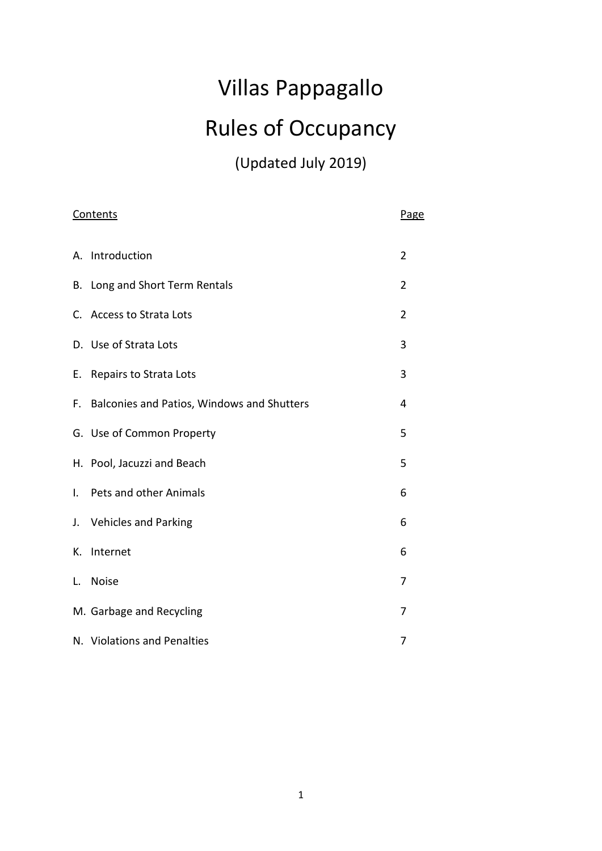# Villas Pappagallo Rules of Occupancy

(Updated July 2019)

| Contents     |                                               | Page           |
|--------------|-----------------------------------------------|----------------|
|              | A. Introduction                               | $\overline{2}$ |
|              | B. Long and Short Term Rentals                | 2              |
|              | C. Access to Strata Lots                      | $\overline{2}$ |
|              | D. Use of Strata Lots                         | 3              |
| Е.           | <b>Repairs to Strata Lots</b>                 | 3              |
|              | F. Balconies and Patios, Windows and Shutters | 4              |
|              | G. Use of Common Property                     | 5              |
|              | H. Pool, Jacuzzi and Beach                    | 5              |
| $\mathsf{L}$ | Pets and other Animals                        | 6              |
|              | J. Vehicles and Parking                       | 6              |
| К.           | Internet                                      | 6              |
| L.           | <b>Noise</b>                                  | 7              |
|              | M. Garbage and Recycling                      | 7              |
|              | N. Violations and Penalties                   | 7              |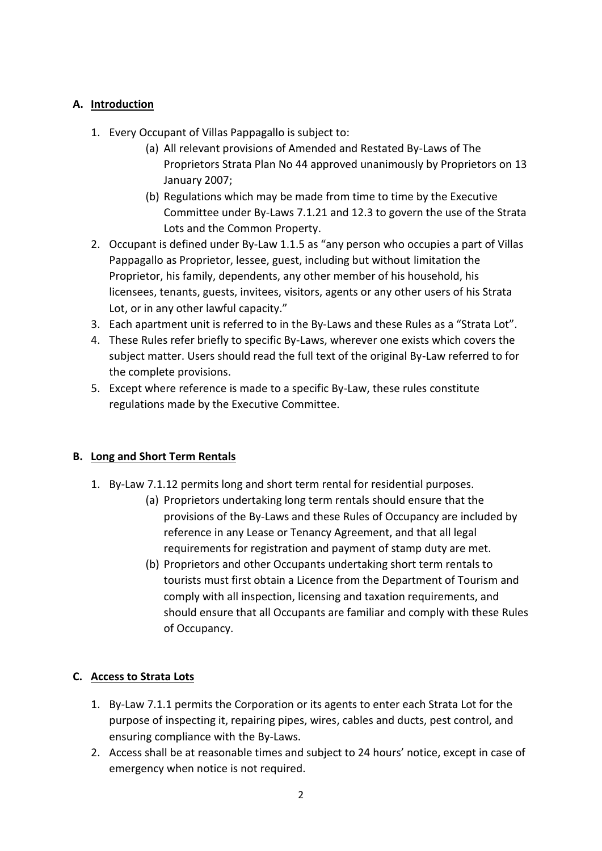# **A. Introduction**

- 1. Every Occupant of Villas Pappagallo is subject to:
	- (a) All relevant provisions of Amended and Restated By-Laws of The Proprietors Strata Plan No 44 approved unanimously by Proprietors on 13 January 2007;
	- (b) Regulations which may be made from time to time by the Executive Committee under By-Laws 7.1.21 and 12.3 to govern the use of the Strata Lots and the Common Property.
- 2. Occupant is defined under By-Law 1.1.5 as "any person who occupies a part of Villas Pappagallo as Proprietor, lessee, guest, including but without limitation the Proprietor, his family, dependents, any other member of his household, his licensees, tenants, guests, invitees, visitors, agents or any other users of his Strata Lot, or in any other lawful capacity."
- 3. Each apartment unit is referred to in the By-Laws and these Rules as a "Strata Lot".
- 4. These Rules refer briefly to specific By-Laws, wherever one exists which covers the subject matter. Users should read the full text of the original By-Law referred to for the complete provisions.
- 5. Except where reference is made to a specific By-Law, these rules constitute regulations made by the Executive Committee.

#### **B. Long and Short Term Rentals**

- 1. By-Law 7.1.12 permits long and short term rental for residential purposes.
	- (a) Proprietors undertaking long term rentals should ensure that the provisions of the By-Laws and these Rules of Occupancy are included by reference in any Lease or Tenancy Agreement, and that all legal requirements for registration and payment of stamp duty are met.
	- (b) Proprietors and other Occupants undertaking short term rentals to tourists must first obtain a Licence from the Department of Tourism and comply with all inspection, licensing and taxation requirements, and should ensure that all Occupants are familiar and comply with these Rules of Occupancy.

# **C. Access to Strata Lots**

- 1. By-Law 7.1.1 permits the Corporation or its agents to enter each Strata Lot for the purpose of inspecting it, repairing pipes, wires, cables and ducts, pest control, and ensuring compliance with the By-Laws.
- 2. Access shall be at reasonable times and subject to 24 hours' notice, except in case of emergency when notice is not required.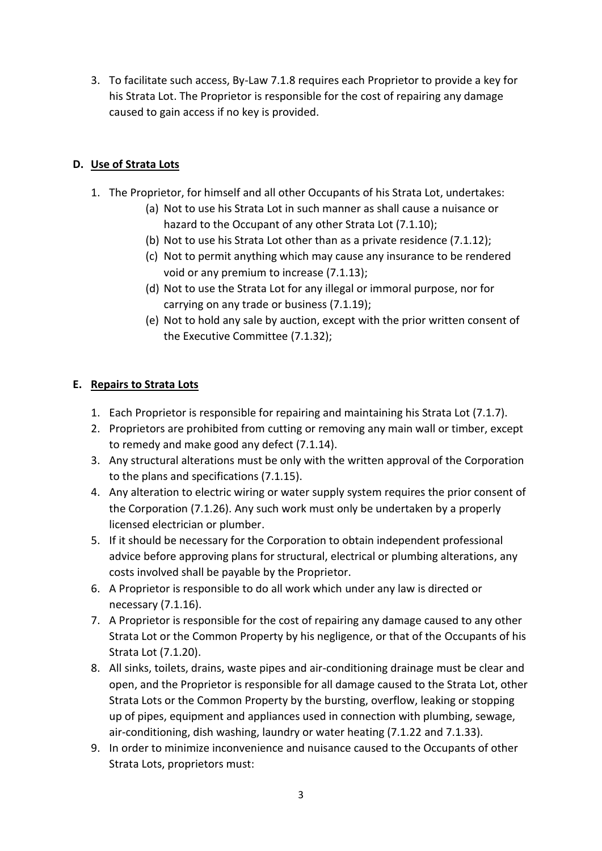3. To facilitate such access, By-Law 7.1.8 requires each Proprietor to provide a key for his Strata Lot. The Proprietor is responsible for the cost of repairing any damage caused to gain access if no key is provided.

# **D. Use of Strata Lots**

- 1. The Proprietor, for himself and all other Occupants of his Strata Lot, undertakes:
	- (a) Not to use his Strata Lot in such manner as shall cause a nuisance or hazard to the Occupant of any other Strata Lot (7.1.10);
	- (b) Not to use his Strata Lot other than as a private residence (7.1.12);
	- (c) Not to permit anything which may cause any insurance to be rendered void or any premium to increase (7.1.13);
	- (d) Not to use the Strata Lot for any illegal or immoral purpose, nor for carrying on any trade or business (7.1.19);
	- (e) Not to hold any sale by auction, except with the prior written consent of the Executive Committee (7.1.32);

# **E. Repairs to Strata Lots**

- 1. Each Proprietor is responsible for repairing and maintaining his Strata Lot (7.1.7).
- 2. Proprietors are prohibited from cutting or removing any main wall or timber, except to remedy and make good any defect (7.1.14).
- 3. Any structural alterations must be only with the written approval of the Corporation to the plans and specifications (7.1.15).
- 4. Any alteration to electric wiring or water supply system requires the prior consent of the Corporation (7.1.26). Any such work must only be undertaken by a properly licensed electrician or plumber.
- 5. If it should be necessary for the Corporation to obtain independent professional advice before approving plans for structural, electrical or plumbing alterations, any costs involved shall be payable by the Proprietor.
- 6. A Proprietor is responsible to do all work which under any law is directed or necessary (7.1.16).
- 7. A Proprietor is responsible for the cost of repairing any damage caused to any other Strata Lot or the Common Property by his negligence, or that of the Occupants of his Strata Lot (7.1.20).
- 8. All sinks, toilets, drains, waste pipes and air-conditioning drainage must be clear and open, and the Proprietor is responsible for all damage caused to the Strata Lot, other Strata Lots or the Common Property by the bursting, overflow, leaking or stopping up of pipes, equipment and appliances used in connection with plumbing, sewage, air-conditioning, dish washing, laundry or water heating (7.1.22 and 7.1.33).
- 9. In order to minimize inconvenience and nuisance caused to the Occupants of other Strata Lots, proprietors must: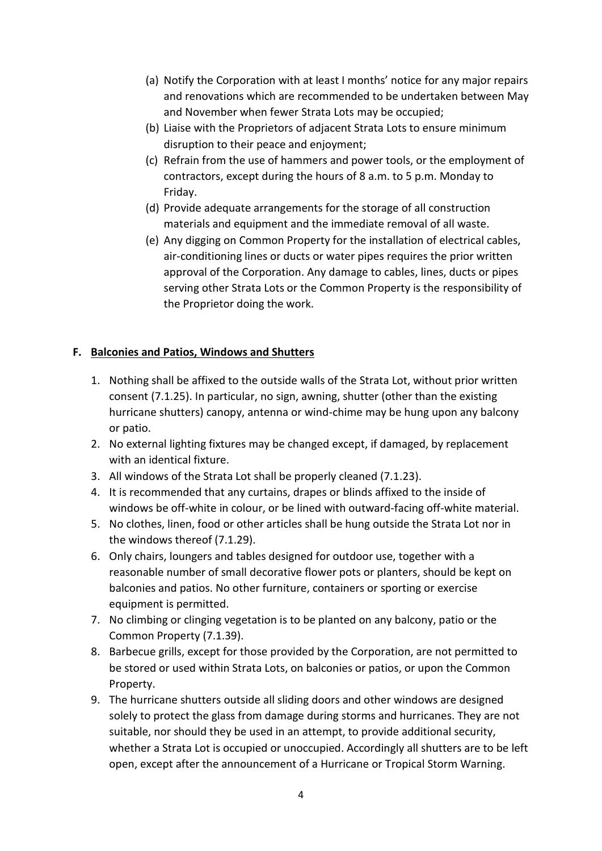- (a) Notify the Corporation with at least I months' notice for any major repairs and renovations which are recommended to be undertaken between May and November when fewer Strata Lots may be occupied;
- (b) Liaise with the Proprietors of adjacent Strata Lots to ensure minimum disruption to their peace and enjoyment;
- (c) Refrain from the use of hammers and power tools, or the employment of contractors, except during the hours of 8 a.m. to 5 p.m. Monday to Friday.
- (d) Provide adequate arrangements for the storage of all construction materials and equipment and the immediate removal of all waste.
- (e) Any digging on Common Property for the installation of electrical cables, air-conditioning lines or ducts or water pipes requires the prior written approval of the Corporation. Any damage to cables, lines, ducts or pipes serving other Strata Lots or the Common Property is the responsibility of the Proprietor doing the work.

## **F. Balconies and Patios, Windows and Shutters**

- 1. Nothing shall be affixed to the outside walls of the Strata Lot, without prior written consent (7.1.25). In particular, no sign, awning, shutter (other than the existing hurricane shutters) canopy, antenna or wind-chime may be hung upon any balcony or patio.
- 2. No external lighting fixtures may be changed except, if damaged, by replacement with an identical fixture.
- 3. All windows of the Strata Lot shall be properly cleaned (7.1.23).
- 4. It is recommended that any curtains, drapes or blinds affixed to the inside of windows be off-white in colour, or be lined with outward-facing off-white material.
- 5. No clothes, linen, food or other articles shall be hung outside the Strata Lot nor in the windows thereof (7.1.29).
- 6. Only chairs, loungers and tables designed for outdoor use, together with a reasonable number of small decorative flower pots or planters, should be kept on balconies and patios. No other furniture, containers or sporting or exercise equipment is permitted.
- 7. No climbing or clinging vegetation is to be planted on any balcony, patio or the Common Property (7.1.39).
- 8. Barbecue grills, except for those provided by the Corporation, are not permitted to be stored or used within Strata Lots, on balconies or patios, or upon the Common Property.
- 9. The hurricane shutters outside all sliding doors and other windows are designed solely to protect the glass from damage during storms and hurricanes. They are not suitable, nor should they be used in an attempt, to provide additional security, whether a Strata Lot is occupied or unoccupied. Accordingly all shutters are to be left open, except after the announcement of a Hurricane or Tropical Storm Warning.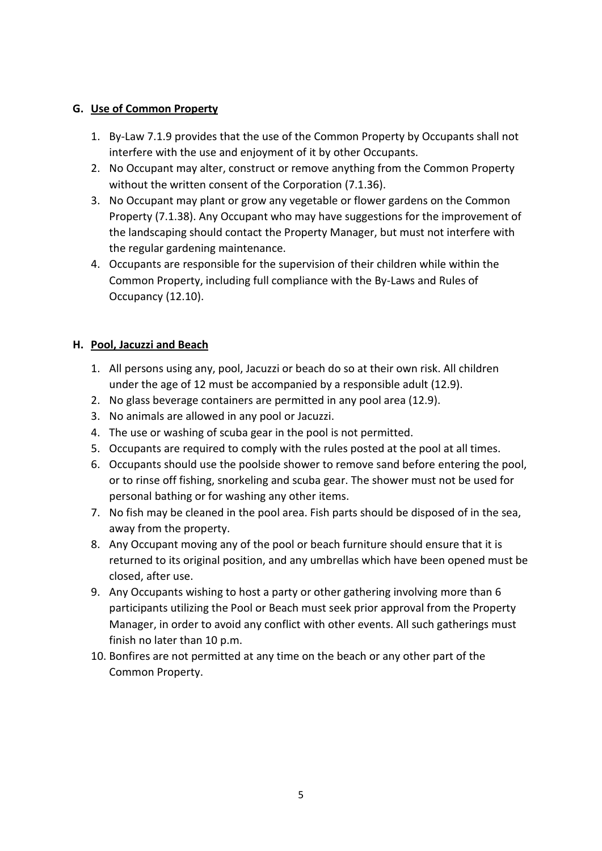#### **G. Use of Common Property**

- 1. By-Law 7.1.9 provides that the use of the Common Property by Occupants shall not interfere with the use and enjoyment of it by other Occupants.
- 2. No Occupant may alter, construct or remove anything from the Common Property without the written consent of the Corporation (7.1.36).
- 3. No Occupant may plant or grow any vegetable or flower gardens on the Common Property (7.1.38). Any Occupant who may have suggestions for the improvement of the landscaping should contact the Property Manager, but must not interfere with the regular gardening maintenance.
- 4. Occupants are responsible for the supervision of their children while within the Common Property, including full compliance with the By-Laws and Rules of Occupancy (12.10).

# **H. Pool, Jacuzzi and Beach**

- 1. All persons using any, pool, Jacuzzi or beach do so at their own risk. All children under the age of 12 must be accompanied by a responsible adult (12.9).
- 2. No glass beverage containers are permitted in any pool area (12.9).
- 3. No animals are allowed in any pool or Jacuzzi.
- 4. The use or washing of scuba gear in the pool is not permitted.
- 5. Occupants are required to comply with the rules posted at the pool at all times.
- 6. Occupants should use the poolside shower to remove sand before entering the pool, or to rinse off fishing, snorkeling and scuba gear. The shower must not be used for personal bathing or for washing any other items.
- 7. No fish may be cleaned in the pool area. Fish parts should be disposed of in the sea, away from the property.
- 8. Any Occupant moving any of the pool or beach furniture should ensure that it is returned to its original position, and any umbrellas which have been opened must be closed, after use.
- 9. Any Occupants wishing to host a party or other gathering involving more than 6 participants utilizing the Pool or Beach must seek prior approval from the Property Manager, in order to avoid any conflict with other events. All such gatherings must finish no later than 10 p.m.
- 10. Bonfires are not permitted at any time on the beach or any other part of the Common Property.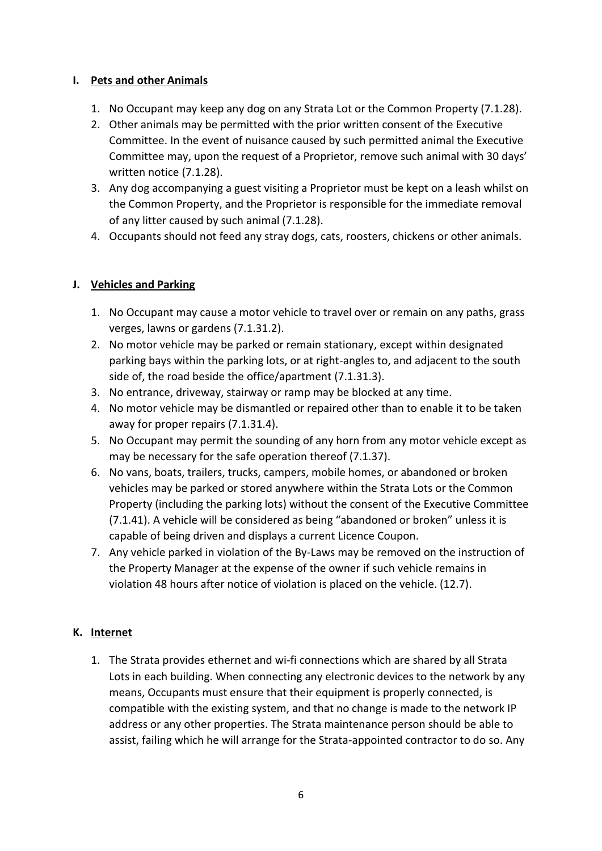## **I. Pets and other Animals**

- 1. No Occupant may keep any dog on any Strata Lot or the Common Property (7.1.28).
- 2. Other animals may be permitted with the prior written consent of the Executive Committee. In the event of nuisance caused by such permitted animal the Executive Committee may, upon the request of a Proprietor, remove such animal with 30 days' written notice (7.1.28).
- 3. Any dog accompanying a guest visiting a Proprietor must be kept on a leash whilst on the Common Property, and the Proprietor is responsible for the immediate removal of any litter caused by such animal (7.1.28).
- 4. Occupants should not feed any stray dogs, cats, roosters, chickens or other animals.

## **J. Vehicles and Parking**

- 1. No Occupant may cause a motor vehicle to travel over or remain on any paths, grass verges, lawns or gardens (7.1.31.2).
- 2. No motor vehicle may be parked or remain stationary, except within designated parking bays within the parking lots, or at right-angles to, and adjacent to the south side of, the road beside the office/apartment (7.1.31.3).
- 3. No entrance, driveway, stairway or ramp may be blocked at any time.
- 4. No motor vehicle may be dismantled or repaired other than to enable it to be taken away for proper repairs (7.1.31.4).
- 5. No Occupant may permit the sounding of any horn from any motor vehicle except as may be necessary for the safe operation thereof (7.1.37).
- 6. No vans, boats, trailers, trucks, campers, mobile homes, or abandoned or broken vehicles may be parked or stored anywhere within the Strata Lots or the Common Property (including the parking lots) without the consent of the Executive Committee (7.1.41). A vehicle will be considered as being "abandoned or broken" unless it is capable of being driven and displays a current Licence Coupon.
- 7. Any vehicle parked in violation of the By-Laws may be removed on the instruction of the Property Manager at the expense of the owner if such vehicle remains in violation 48 hours after notice of violation is placed on the vehicle. (12.7).

#### **K. Internet**

1. The Strata provides ethernet and wi-fi connections which are shared by all Strata Lots in each building. When connecting any electronic devices to the network by any means, Occupants must ensure that their equipment is properly connected, is compatible with the existing system, and that no change is made to the network IP address or any other properties. The Strata maintenance person should be able to assist, failing which he will arrange for the Strata-appointed contractor to do so. Any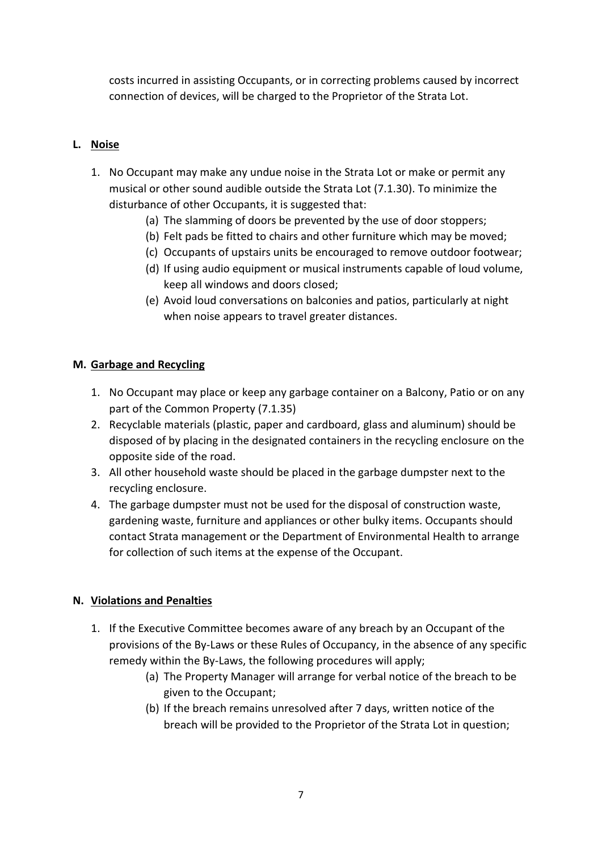costs incurred in assisting Occupants, or in correcting problems caused by incorrect connection of devices, will be charged to the Proprietor of the Strata Lot.

## **L. Noise**

- 1. No Occupant may make any undue noise in the Strata Lot or make or permit any musical or other sound audible outside the Strata Lot (7.1.30). To minimize the disturbance of other Occupants, it is suggested that:
	- (a) The slamming of doors be prevented by the use of door stoppers;
	- (b) Felt pads be fitted to chairs and other furniture which may be moved;
	- (c) Occupants of upstairs units be encouraged to remove outdoor footwear;
	- (d) If using audio equipment or musical instruments capable of loud volume, keep all windows and doors closed;
	- (e) Avoid loud conversations on balconies and patios, particularly at night when noise appears to travel greater distances.

#### **M. Garbage and Recycling**

- 1. No Occupant may place or keep any garbage container on a Balcony, Patio or on any part of the Common Property (7.1.35)
- 2. Recyclable materials (plastic, paper and cardboard, glass and aluminum) should be disposed of by placing in the designated containers in the recycling enclosure on the opposite side of the road.
- 3. All other household waste should be placed in the garbage dumpster next to the recycling enclosure.
- 4. The garbage dumpster must not be used for the disposal of construction waste, gardening waste, furniture and appliances or other bulky items. Occupants should contact Strata management or the Department of Environmental Health to arrange for collection of such items at the expense of the Occupant.

#### **N. Violations and Penalties**

- 1. If the Executive Committee becomes aware of any breach by an Occupant of the provisions of the By-Laws or these Rules of Occupancy, in the absence of any specific remedy within the By-Laws, the following procedures will apply;
	- (a) The Property Manager will arrange for verbal notice of the breach to be given to the Occupant;
	- (b) If the breach remains unresolved after 7 days, written notice of the breach will be provided to the Proprietor of the Strata Lot in question;